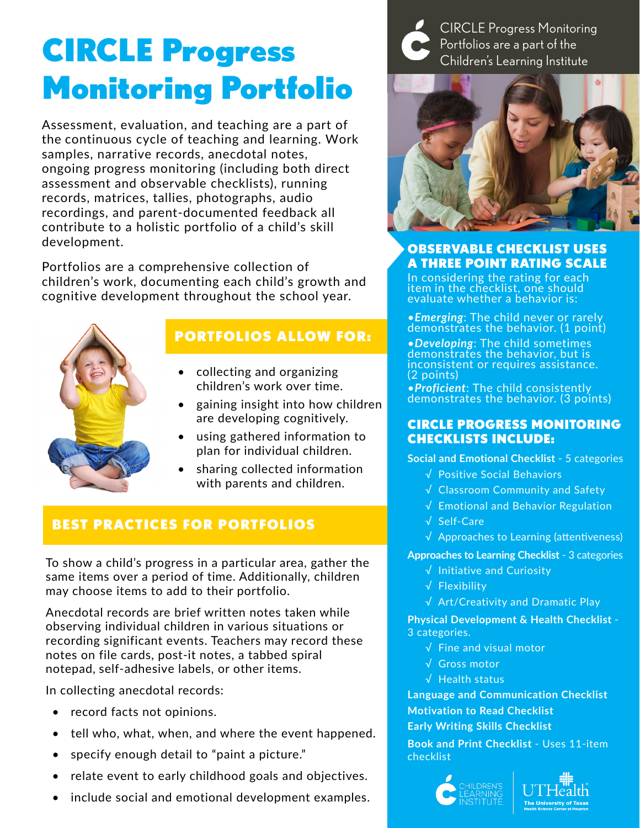# CIRCLE Progress Monitoring Portfolio

Assessment, evaluation, and teaching are a part of the continuous cycle of teaching and learning. Work samples, narrative records, anecdotal notes, ongoing progress monitoring (including both direct assessment and observable checklists), running records, matrices, tallies, photographs, audio recordings, and parent-documented feedback all contribute to a holistic portfolio of a child's skill development.

Portfolios are a comprehensive collection of children's work, documenting each child's growth and cognitive development throughout the school year.

### PORTFOLIOS ALLOW FOR:

- collecting and organizing children's work over time.
- gaining insight into how children are developing cognitively.
- using gathered information to plan for individual children.
- sharing collected information with parents and children.

### **CTICES FOR PORTFOLIOS**

ild's progress in a particular area, gather the ver a period of time. Additionally, children tems to add to their portfolio.

Anecaotal records are brief written notes taken while observing individual children in various situations or recording significant events. Teachers may record these notes on file cards, post-it notes, a tabbed spiral notepad, self-adhesive labels, or other items.

In collecting anecdotal records:

- record facts not opinions.
- tell who, what, when, and where the event happened.
- specify enough detail to "paint a picture."
- relate event to early childhood goals and objectives.
- include social and emotional development examples.

CIRCLE Progress Monitoring Portfolios are a part of the Children's Learning Institute



#### OBSERVABLE CHECKLIST USES A THREE POINT RATING SCALE

In considering the rating for each item in the checklist, one should evaluate whether a behavior is:

•*Emerging*: The child never or rarely demonstrates the behavior. (1 point)

•*Developing*: The child sometimes demonstrates the behavior, but is inconsistent or requires assistance. (2 points)

•*Proficient*: The child consistently demonstrates the behavior. (3 points)

#### CIRCLE PROGRESS MONITORING CHECKLISTS INCLUDE:

**Social and Emotional Checklist** - 5 categories

- √ Positive Social Behaviors
- √ Classroom Community and Safety
- √ Emotional and Behavior Regulation
- √ Self-Care
- √ Approaches to Learning (attentiveness)

**Approaches to Learning Checklist** - 3 categories

- √ Initiative and Curiosity
- √ Flexibility
- √ Art/Creativity and Dramatic Play

**Physical Development & Health Checklist** - 3 categories.

- √ Fine and visual motor
- √ Gross motor
- √ Health status

**Language and Communication Checklist Motivation to Read Checklist Early Writing Skills Checklist** 

**Book and Print Checklist** - Uses 11-item checklist